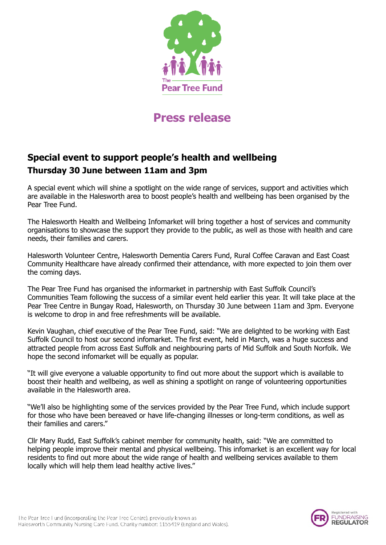

## **Press release**

## **Special event to support people's health and wellbeing Thursday 30 June between 11am and 3pm**

A special event which will shine a spotlight on the wide range of services, support and activities which are available in the Halesworth area to boost people's health and wellbeing has been organised by the Pear Tree Fund.

The Halesworth Health and Wellbeing Infomarket will bring together a host of services and community organisations to showcase the support they provide to the public, as well as those with health and care needs, their families and carers.

Halesworth Volunteer Centre, Halesworth Dementia Carers Fund, Rural Coffee Caravan and East Coast Community Healthcare have already confirmed their attendance, with more expected to join them over the coming days.

The Pear Tree Fund has organised the informarket in partnership with East Suffolk Council's Communities Team following the success of a similar event held earlier this year. It will take place at the Pear Tree Centre in Bungay Road, Halesworth, on Thursday 30 June between 11am and 3pm. Everyone is welcome to drop in and free refreshments will be available.

Kevin Vaughan, chief executive of the Pear Tree Fund, said: "We are delighted to be working with East Suffolk Council to host our second infomarket. The first event, held in March, was a huge success and attracted people from across East Suffolk and neighbouring parts of Mid Suffolk and South Norfolk. We hope the second infomarket will be equally as popular.

"It will give everyone a valuable opportunity to find out more about the support which is available to boost their health and wellbeing, as well as shining a spotlight on range of volunteering opportunities available in the Halesworth area.

"We'll also be highlighting some of the services provided by the Pear Tree Fund, which include support for those who have been bereaved or have life-changing illnesses or long-term conditions, as well as their families and carers."

Cllr Mary Rudd, East Suffolk's cabinet member for community health, said: "We are committed to helping people improve their mental and physical wellbeing. This infomarket is an excellent way for local residents to find out more about the wide range of health and wellbeing services available to them locally which will help them lead healthy active lives."